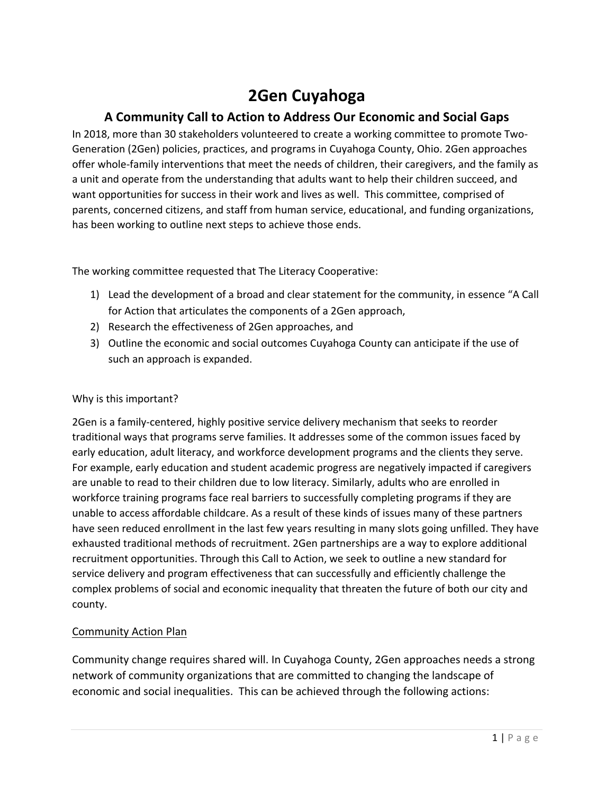# **2Gen Cuyahoga**

# **A Community Call to Action to Address Our Economic and Social Gaps**

In 2018, more than 30 stakeholders volunteered to create a working committee to promote Two-Generation (2Gen) policies, practices, and programs in Cuyahoga County, Ohio. 2Gen approaches offer whole-family interventions that meet the needs of children, their caregivers, and the family as a unit and operate from the understanding that adults want to help their children succeed, and want opportunities for success in their work and lives as well. This committee, comprised of parents, concerned citizens, and staff from human service, educational, and funding organizations, has been working to outline next steps to achieve those ends.

The working committee requested that The Literacy Cooperative:

- 1) Lead the development of a broad and clear statement for the community, in essence "A Call for Action that articulates the components of a 2Gen approach,
- 2) Research the effectiveness of 2Gen approaches, and
- 3) Outline the economic and social outcomes Cuyahoga County can anticipate if the use of such an approach is expanded.

#### Why is this important?

2Gen is a family-centered, highly positive service delivery mechanism that seeks to reorder traditional ways that programs serve families. It addresses some of the common issues faced by early education, adult literacy, and workforce development programs and the clients they serve. For example, early education and student academic progress are negatively impacted if caregivers are unable to read to their children due to low literacy. Similarly, adults who are enrolled in workforce training programs face real barriers to successfully completing programs if they are unable to access affordable childcare. As a result of these kinds of issues many of these partners have seen reduced enrollment in the last few years resulting in many slots going unfilled. They have exhausted traditional methods of recruitment. 2Gen partnerships are a way to explore additional recruitment opportunities. Through this Call to Action, we seek to outline a new standard for service delivery and program effectiveness that can successfully and efficiently challenge the complex problems of social and economic inequality that threaten the future of both our city and county.

# Community Action Plan

Community change requires shared will. In Cuyahoga County, 2Gen approaches needs a strong network of community organizations that are committed to changing the landscape of economic and social inequalities. This can be achieved through the following actions: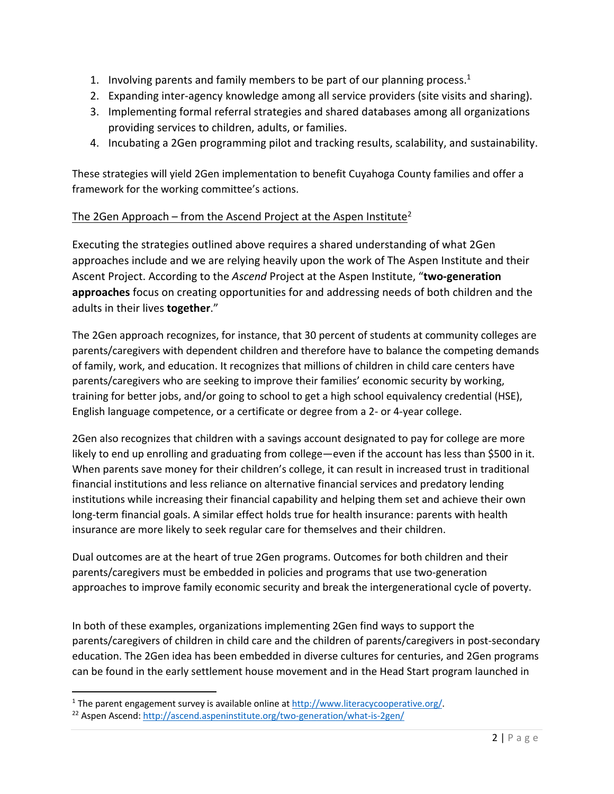- 1. Involving parents and family members to be part of our planning process. $1$
- 2. Expanding inter-agency knowledge among all service providers (site visits and sharing).
- 3. Implementing formal referral strategies and shared databases among all organizations providing services to children, adults, or families.
- 4. Incubating a 2Gen programming pilot and tracking results, scalability, and sustainability.

These strategies will yield 2Gen implementation to benefit Cuyahoga County families and offer a framework for the working committee's actions.

# The 2Gen Approach – from the Ascend Project at the Aspen Institute<sup>2</sup>

Executing the strategies outlined above requires a shared understanding of what 2Gen approaches include and we are relying heavily upon the work of The Aspen Institute and their Ascent Project. According to the *Ascend* Project at the Aspen Institute, "**two-generation approaches** focus on creating opportunities for and addressing needs of both children and the adults in their lives **together**."

The 2Gen approach recognizes, for instance, that 30 percent of students at community colleges are parents/caregivers with dependent children and therefore have to balance the competing demands of family, work, and education. It recognizes that millions of children in child care centers have parents/caregivers who are seeking to improve their families' economic security by working, training for better jobs, and/or going to school to get a high school equivalency credential (HSE), English language competence, or a certificate or degree from a 2- or 4-year college.

2Gen also recognizes that children with a savings account designated to pay for college are more likely to end up enrolling and graduating from college—even if the account has less than \$500 in it. When parents save money for their children's college, it can result in increased trust in traditional financial institutions and less reliance on alternative financial services and predatory lending institutions while increasing their financial capability and helping them set and achieve their own long-term financial goals. A similar effect holds true for health insurance: parents with health insurance are more likely to seek regular care for themselves and their children.

Dual outcomes are at the heart of true 2Gen programs. Outcomes for both children and their parents/caregivers must be embedded in policies and programs that use two-generation approaches to improve family economic security and break the intergenerational cycle of poverty.

In both of these examples, organizations implementing 2Gen find ways to support the parents/caregivers of children in child care and the children of parents/caregivers in post-secondary education. The 2Gen idea has been embedded in diverse cultures for centuries, and 2Gen programs can be found in the early settlement house movement and in the Head Start program launched in

<sup>&</sup>lt;sup>1</sup> The parent engagement survey is available online at  $\frac{http://www.literacycooperative.org/}{http://ascendaspeninstitute.org/two-generation/what-is-2gen/}$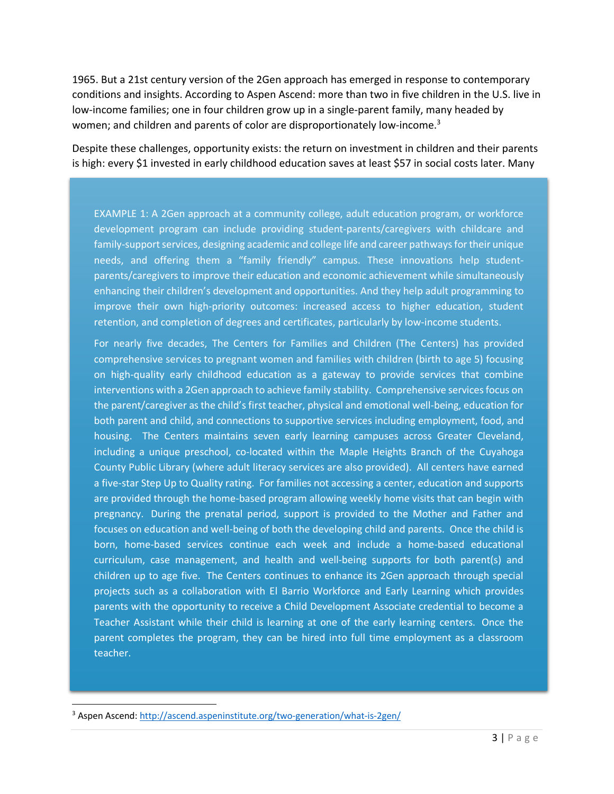1965. But a 21st century version of the 2Gen approach has emerged in response to contemporary conditions and insights. According to Aspen Ascend: more than two in five children in the U.S. live in low-income families; one in four children grow up in a single-parent family, many headed by women; and children and parents of color are disproportionately low-income.<sup>3</sup>

Despite these challenges, opportunity exists: the return on investment in children and their parents is high: every \$1 invested in early childhood education saves at least \$57 in social costs later. Many

EXAMPLE 1: A 2Gen approach at a community college, adult education program, or workforce development program can include providing student-parents/caregivers with childcare and family-support services, designing academic and college life and career pathways for their unique needs, and offering them a "family friendly" campus. These innovations help studentparents/caregivers to improve their education and economic achievement while simultaneously enhancing their children's development and opportunities. And they help adult programming to improve their own high-priority outcomes: increased access to higher education, student retention, and completion of degrees and certificates, particularly by low-income students.

For nearly five decades, The Centers for Families and Children (The Centers) has provided comprehensive services to pregnant women and families with children (birth to age 5) focusing on high-quality early childhood education as a gateway to provide services that combine interventions with a 2Gen approach to achieve family stability. Comprehensive services focus on the parent/caregiver as the child's first teacher, physical and emotional well-being, education for both parent and child, and connections to supportive services including employment, food, and housing. The Centers maintains seven early learning campuses across Greater Cleveland, including a unique preschool, co-located within the Maple Heights Branch of the Cuyahoga County Public Library (where adult literacy services are also provided). All centers have earned a five-star Step Up to Quality rating. For families not accessing a center, education and supports are provided through the home-based program allowing weekly home visits that can begin with pregnancy. During the prenatal period, support is provided to the Mother and Father and focuses on education and well-being of both the developing child and parents. Once the child is born, home-based services continue each week and include a home-based educational curriculum, case management, and health and well-being supports for both parent(s) and children up to age five. The Centers continues to enhance its 2Gen approach through special projects such as a collaboration with El Barrio Workforce and Early Learning which provides parents with the opportunity to receive a Child Development Associate credential to become a Teacher Assistant while their child is learning at one of the early learning centers. Once the parent completes the program, they can be hired into full time employment as a classroom teacher.

<sup>3</sup> Aspen Ascend: http://ascend.aspeninstitute.org/two-generation/what-is-2gen/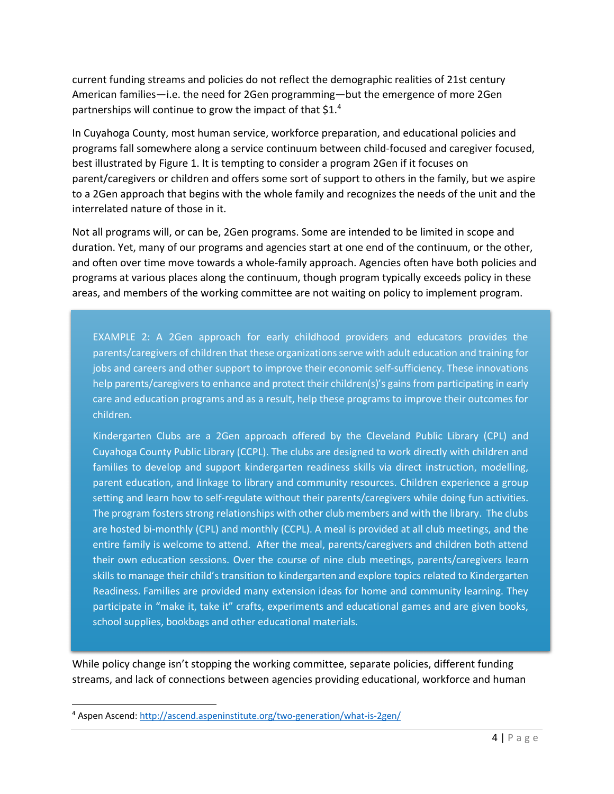current funding streams and policies do not reflect the demographic realities of 21st century American families—i.e. the need for 2Gen programming—but the emergence of more 2Gen partnerships will continue to grow the impact of that \$1.4

In Cuyahoga County, most human service, workforce preparation, and educational policies and programs fall somewhere along a service continuum between child-focused and caregiver focused, best illustrated by Figure 1. It is tempting to consider a program 2Gen if it focuses on parent/caregivers or children and offers some sort of support to others in the family, but we aspire to a 2Gen approach that begins with the whole family and recognizes the needs of the unit and the interrelated nature of those in it.

Not all programs will, or can be, 2Gen programs. Some are intended to be limited in scope and duration. Yet, many of our programs and agencies start at one end of the continuum, or the other, and often over time move towards a whole-family approach. Agencies often have both policies and programs at various places along the continuum, though program typically exceeds policy in these areas, and members of the working committee are not waiting on policy to implement program.

EXAMPLE 2: A 2Gen approach for early childhood providers and educators provides the parents/caregivers of children that these organizations serve with adult education and training for jobs and careers and other support to improve their economic self-sufficiency. These innovations help parents/caregivers to enhance and protect their children(s)'s gains from participating in early care and education programs and as a result, help these programs to improve their outcomes for children.

Kindergarten Clubs are a 2Gen approach offered by the Cleveland Public Library (CPL) and Cuyahoga County Public Library (CCPL). The clubs are designed to work directly with children and families to develop and support kindergarten readiness skills via direct instruction, modelling, parent education, and linkage to library and community resources. Children experience a group setting and learn how to self-regulate without their parents/caregivers while doing fun activities. The program fosters strong relationships with other club members and with the library. The clubs are hosted bi-monthly (CPL) and monthly (CCPL). A meal is provided at all club meetings, and the entire family is welcome to attend. After the meal, parents/caregivers and children both attend their own education sessions. Over the course of nine club meetings, parents/caregivers learn skills to manage their child's transition to kindergarten and explore topics related to Kindergarten Readiness. Families are provided many extension ideas for home and community learning. They participate in "make it, take it" crafts, experiments and educational games and are given books, school supplies, bookbags and other educational materials.

While policy change isn't stopping the working committee, separate policies, different funding streams, and lack of connections between agencies providing educational, workforce and human

<sup>4</sup> Aspen Ascend: http://ascend.aspeninstitute.org/two-generation/what-is-2gen/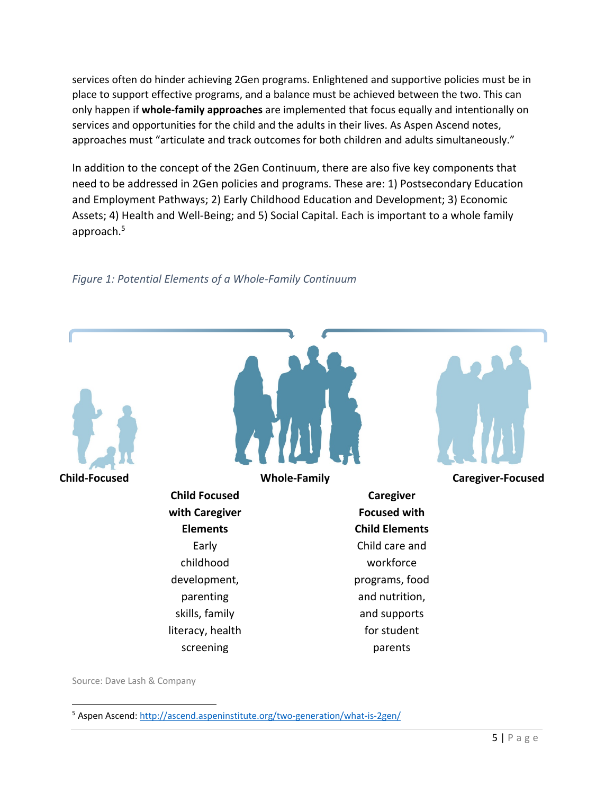services often do hinder achieving 2Gen programs. Enlightened and supportive policies must be in place to support effective programs, and a balance must be achieved between the two. This can only happen if **whole-family approaches** are implemented that focus equally and intentionally on services and opportunities for the child and the adults in their lives. As Aspen Ascend notes, approaches must "articulate and track outcomes for both children and adults simultaneously."

In addition to the concept of the 2Gen Continuum, there are also five key components that need to be addressed in 2Gen policies and programs. These are: 1) Postsecondary Education and Employment Pathways; 2) Early Childhood Education and Development; 3) Economic Assets; 4) Health and Well-Being; and 5) Social Capital. Each is important to a whole family approach.5



# *Figure 1: Potential Elements of a Whole-Family Continuum*

Source: Dave Lash & Company

<sup>5</sup> Aspen Ascend: http://ascend.aspeninstitute.org/two-generation/what-is-2gen/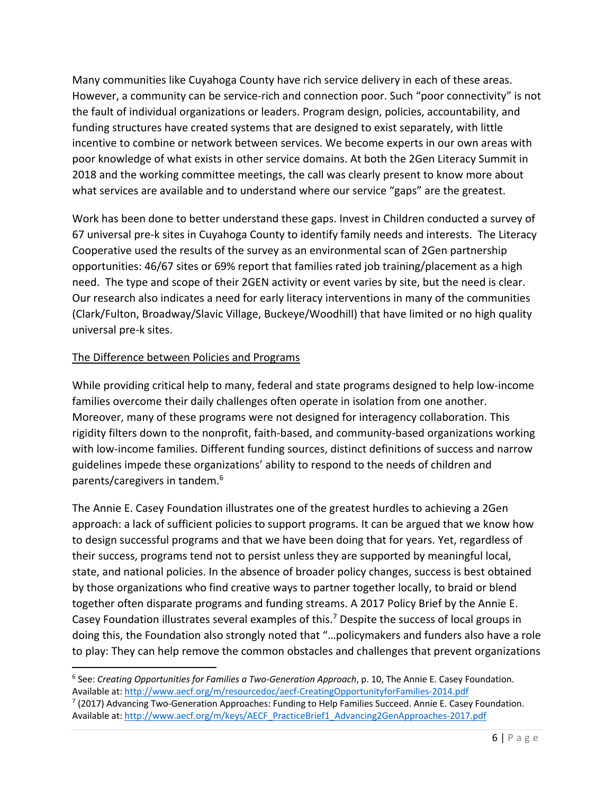Many communities like Cuyahoga County have rich service delivery in each of these areas. However, a community can be service-rich and connection poor. Such "poor connectivity" is not the fault of individual organizations or leaders. Program design, policies, accountability, and funding structures have created systems that are designed to exist separately, with little incentive to combine or network between services. We become experts in our own areas with poor knowledge of what exists in other service domains. At both the 2Gen Literacy Summit in 2018 and the working committee meetings, the call was clearly present to know more about what services are available and to understand where our service "gaps" are the greatest.

Work has been done to better understand these gaps. Invest in Children conducted a survey of 67 universal pre-k sites in Cuyahoga County to identify family needs and interests. The Literacy Cooperative used the results of the survey as an environmental scan of 2Gen partnership opportunities: 46/67 sites or 69% report that families rated job training/placement as a high need. The type and scope of their 2GEN activity or event varies by site, but the need is clear. Our research also indicates a need for early literacy interventions in many of the communities (Clark/Fulton, Broadway/Slavic Village, Buckeye/Woodhill) that have limited or no high quality universal pre-k sites.

# The Difference between Policies and Programs

While providing critical help to many, federal and state programs designed to help low-income families overcome their daily challenges often operate in isolation from one another. Moreover, many of these programs were not designed for interagency collaboration. This rigidity filters down to the nonprofit, faith-based, and community-based organizations working with low-income families. Different funding sources, distinct definitions of success and narrow guidelines impede these organizations' ability to respond to the needs of children and parents/caregivers in tandem. 6

The Annie E. Casey Foundation illustrates one of the greatest hurdles to achieving a 2Gen approach: a lack of sufficient policies to support programs. It can be argued that we know how to design successful programs and that we have been doing that for years. Yet, regardless of their success, programs tend not to persist unless they are supported by meaningful local, state, and national policies. In the absence of broader policy changes, success is best obtained by those organizations who find creative ways to partner together locally, to braid or blend together often disparate programs and funding streams. A 2017 Policy Brief by the Annie E. Casey Foundation illustrates several examples of this.<sup>7</sup> Despite the success of local groups in doing this, the Foundation also strongly noted that "…policymakers and funders also have a role to play: They can help remove the common obstacles and challenges that prevent organizations

<sup>6</sup> See: *Creating Opportunities for Families a Two-Generation Approach*, p. 10, The Annie E. Casey Foundation. Available at: http://www.aecf.org/m/resourcedoc/aecf-CreatingOpportunityforFamilies-2014.pdf

 $7$  (2017) Advancing Two-Generation Approaches: Funding to Help Families Succeed. Annie E. Casey Foundation. Available at: http://www.aecf.org/m/keys/AECF\_PracticeBrief1\_Advancing2GenApproaches-2017.pdf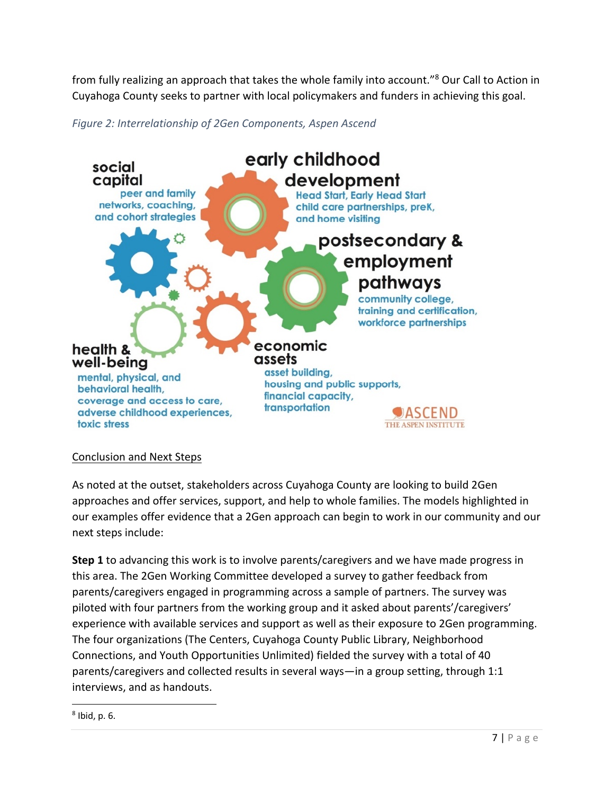from fully realizing an approach that takes the whole family into account."8 Our Call to Action in Cuyahoga County seeks to partner with local policymakers and funders in achieving this goal.





# Conclusion and Next Steps

As noted at the outset, stakeholders across Cuyahoga County are looking to build 2Gen approaches and offer services, support, and help to whole families. The models highlighted in our examples offer evidence that a 2Gen approach can begin to work in our community and our next steps include:

**Step 1** to advancing this work is to involve parents/caregivers and we have made progress in this area. The 2Gen Working Committee developed a survey to gather feedback from parents/caregivers engaged in programming across a sample of partners. The survey was piloted with four partners from the working group and it asked about parents'/caregivers' experience with available services and support as well as their exposure to 2Gen programming. The four organizations (The Centers, Cuyahoga County Public Library, Neighborhood Connections, and Youth Opportunities Unlimited) fielded the survey with a total of 40 parents/caregivers and collected results in several ways—in a group setting, through 1:1 interviews, and as handouts.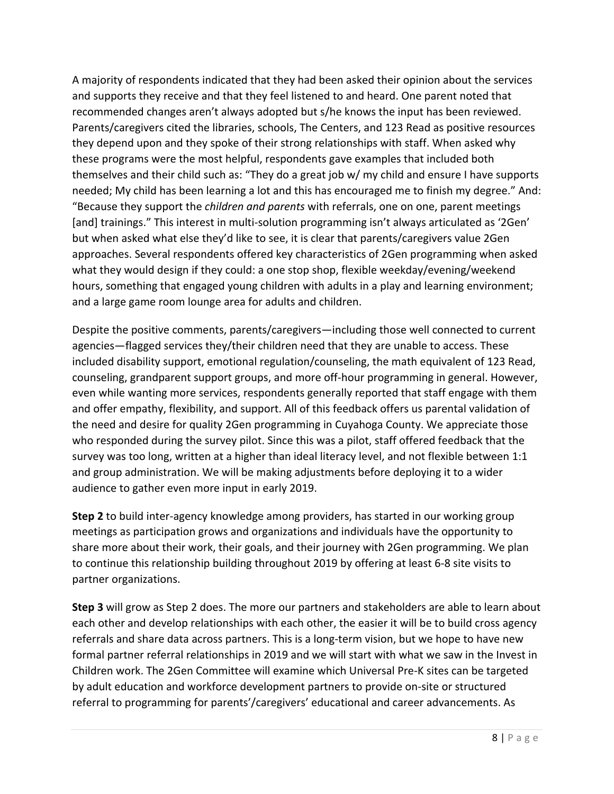A majority of respondents indicated that they had been asked their opinion about the services and supports they receive and that they feel listened to and heard. One parent noted that recommended changes aren't always adopted but s/he knows the input has been reviewed. Parents/caregivers cited the libraries, schools, The Centers, and 123 Read as positive resources they depend upon and they spoke of their strong relationships with staff. When asked why these programs were the most helpful, respondents gave examples that included both themselves and their child such as: "They do a great job w/ my child and ensure I have supports needed; My child has been learning a lot and this has encouraged me to finish my degree." And: "Because they support the *children and parents* with referrals, one on one, parent meetings [and] trainings." This interest in multi-solution programming isn't always articulated as '2Gen' but when asked what else they'd like to see, it is clear that parents/caregivers value 2Gen approaches. Several respondents offered key characteristics of 2Gen programming when asked what they would design if they could: a one stop shop, flexible weekday/evening/weekend hours, something that engaged young children with adults in a play and learning environment; and a large game room lounge area for adults and children.

Despite the positive comments, parents/caregivers—including those well connected to current agencies—flagged services they/their children need that they are unable to access. These included disability support, emotional regulation/counseling, the math equivalent of 123 Read, counseling, grandparent support groups, and more off-hour programming in general. However, even while wanting more services, respondents generally reported that staff engage with them and offer empathy, flexibility, and support. All of this feedback offers us parental validation of the need and desire for quality 2Gen programming in Cuyahoga County. We appreciate those who responded during the survey pilot. Since this was a pilot, staff offered feedback that the survey was too long, written at a higher than ideal literacy level, and not flexible between 1:1 and group administration. We will be making adjustments before deploying it to a wider audience to gather even more input in early 2019.

**Step 2** to build inter-agency knowledge among providers, has started in our working group meetings as participation grows and organizations and individuals have the opportunity to share more about their work, their goals, and their journey with 2Gen programming. We plan to continue this relationship building throughout 2019 by offering at least 6-8 site visits to partner organizations.

**Step 3** will grow as Step 2 does. The more our partners and stakeholders are able to learn about each other and develop relationships with each other, the easier it will be to build cross agency referrals and share data across partners. This is a long-term vision, but we hope to have new formal partner referral relationships in 2019 and we will start with what we saw in the Invest in Children work. The 2Gen Committee will examine which Universal Pre-K sites can be targeted by adult education and workforce development partners to provide on-site or structured referral to programming for parents'/caregivers' educational and career advancements. As